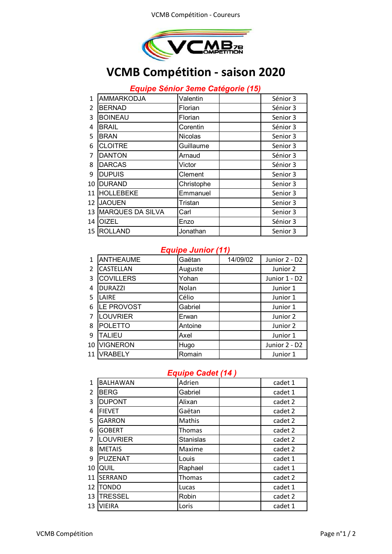

# **VCMB Compétition - saison 2020**

# *Equipe Sénior 3eme Catégorie (15)*

| $\mathbf{1}$   | <b>AMMARKODJA</b>       | Valentin       | Sénior 3 |
|----------------|-------------------------|----------------|----------|
| $\overline{2}$ | <b>BERNAD</b>           | Florian        | Sénior 3 |
| 3              | <b>BOINEAU</b>          | Florian        | Senior 3 |
| 4              | <b>BRAIL</b>            | Corentin       | Sénior 3 |
| 5              | <b>BRAN</b>             | <b>Nicolas</b> | Senior 3 |
| 6              | <b>CLOITRE</b>          | Guillaume      | Senior 3 |
| 7              | <b>DANTON</b>           | Arnaud         | Sénior 3 |
| 8              | <b>DARCAS</b>           | Victor         | Sénior 3 |
| 9              | <b>DUPUIS</b>           | Clement        | Senior 3 |
| 10             | <b>DURAND</b>           | Christophe     | Senior 3 |
| 11             | <b>HOLLEBEKE</b>        | Emmanuel       | Senior 3 |
| 12             | <b>JAOUEN</b>           | Tristan        | Senior 3 |
| 13             | <b>MARQUES DA SILVA</b> | Carl           | Senior 3 |
| 14             | <b>OIZEL</b>            | Enzo           | Sénior 3 |
| 15             | <b>ROLLAND</b>          | Jonathan       | Senior 3 |

## *Equipe Junior (11)*

| <b>ANTHEAUME</b> | Gaëtan  | 14/09/02 | Junior 2 - D2 |
|------------------|---------|----------|---------------|
| CASTELLAN        | Auguste |          | Junior 2      |
| <b>COVILLERS</b> | Yohan   |          | Junior 1 - D2 |
| <b>DURAZZI</b>   | Nolan   |          | Junior 1      |
| LAIRE            | Célio   |          | Junior 1      |
| LE PROVOST       | Gabriel |          | Junior 1      |
| <b>LOUVRIER</b>  | Erwan   |          | Junior 2      |
| <b>POLETTO</b>   | Antoine |          | Junior 2      |
| <b>TALIEU</b>    | Axel    |          | Junior 1      |
| <b>VIGNERON</b>  | Hugo    |          | Junior 2 - D2 |
| <b>VRABELY</b>   | Romain  |          | Junior 1      |
|                  |         |          |               |

## *Equipe Cadet (14 )*

| $\mathbf{1}$   | <b>BALHAWAN</b> | Adrien           | cadet 1 |
|----------------|-----------------|------------------|---------|
| 2              | <b>BERG</b>     | Gabriel          | cadet 1 |
| 3              | <b>DUPONT</b>   | Alixan           | cadet 2 |
| 4              | <b>FIEVET</b>   | Gaëtan           | cadet 2 |
| 5              | <b>GARRON</b>   | Mathis           | cadet 2 |
| 6              | <b>GOBERT</b>   | Thomas           | cadet 2 |
| $\overline{7}$ | <b>LOUVRIER</b> | <b>Stanislas</b> | cadet 2 |
| 8              | <b>METAIS</b>   | Maxime           | cadet 2 |
| 9              | <b>PUZENAT</b>  | Louis            | cadet 1 |
| 10             | <b>QUIL</b>     | Raphael          | cadet 1 |
| 11             | SERRAND         | Thomas           | cadet 2 |
| 12             | <b>TONDO</b>    | Lucas            | cadet 1 |
| 13             | <b>TRESSEL</b>  | Robin            | cadet 2 |
| 13             | <b>VIEIRA</b>   | Loris            | cadet 1 |